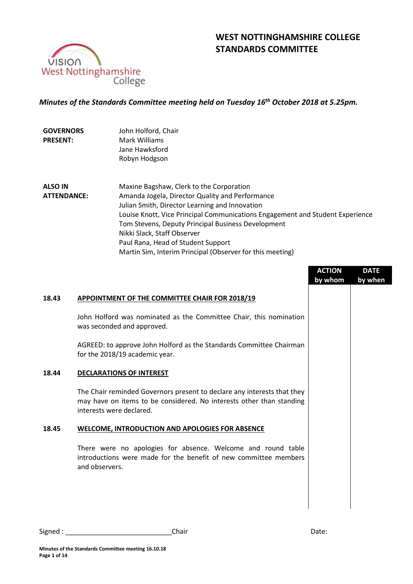

# **WEST NOTTINGHAMSHIRE COLLEGE STANDARDS COMMITTEE**

### *Minutes of the Standards Committee meeting held on Tuesday 16 th October 2018 at 5.25pm.*

| <b>GOVERNORS</b><br><b>PRESENT:</b>  | John Holford, Chair<br>Mark Williams<br>Jane Hawksford                                                                                                                                                                                                                                                                                                    |
|--------------------------------------|-----------------------------------------------------------------------------------------------------------------------------------------------------------------------------------------------------------------------------------------------------------------------------------------------------------------------------------------------------------|
|                                      | Robyn Hodgson                                                                                                                                                                                                                                                                                                                                             |
| <b>ALSO IN</b><br><b>ATTENDANCE:</b> | Maxine Bagshaw, Clerk to the Corporation<br>Amanda Jogela, Director Quality and Performance<br>Julian Smith, Director Learning and Innovation<br>Louise Knott, Vice Principal Communications Engagement and Student Experience<br>Tom Stevens, Deputy Principal Business Development<br>Nikki Slack, Staff Observer<br>Paul Rana, Head of Student Support |
|                                      | Martin Sim, Interim Principal (Observer for this meeting)<br><b>ACTION</b><br><b>DATE</b>                                                                                                                                                                                                                                                                 |

|       |                                                                                                                                                                             | <b>ACTION</b><br>by whom | <b>DATE</b><br>by when |
|-------|-----------------------------------------------------------------------------------------------------------------------------------------------------------------------------|--------------------------|------------------------|
| 18.43 | APPOINTMENT OF THE COMMITTEE CHAIR FOR 2018/19                                                                                                                              |                          |                        |
|       | John Holford was nominated as the Committee Chair, this nomination<br>was seconded and approved.                                                                            |                          |                        |
|       | AGREED: to approve John Holford as the Standards Committee Chairman<br>for the 2018/19 academic year.                                                                       |                          |                        |
| 18.44 | <b>DECLARATIONS OF INTEREST</b>                                                                                                                                             |                          |                        |
|       | The Chair reminded Governors present to declare any interests that they<br>may have on items to be considered. No interests other than standing<br>interests were declared. |                          |                        |
| 18.45 | <b>WELCOME, INTRODUCTION AND APOLOGIES FOR ABSENCE</b>                                                                                                                      |                          |                        |
|       | There were no apologies for absence. Welcome and round table<br>introductions were made for the benefit of new committee members<br>and observers.                          |                          |                        |
|       |                                                                                                                                                                             |                          |                        |

Ξ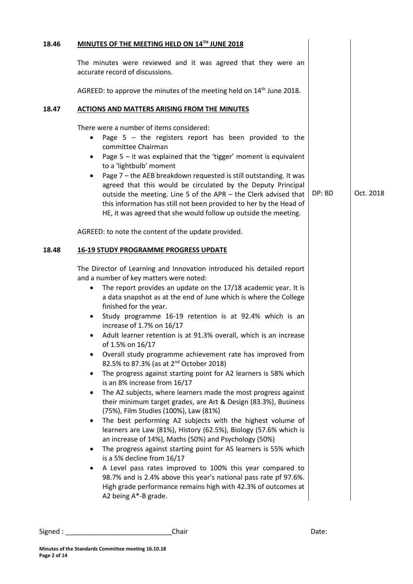|                                                                 | MINUTES OF THE MEETING HELD ON 14TH JUNE 2018                                                                                                                                                                                                                                                                                                                                                                                                                                                                                                                                                                                                                                                                                                                                                                                                                                                                                                                                                                                                                                                                                                                                                                                                                                                                                                                                                     |        |           |
|-----------------------------------------------------------------|---------------------------------------------------------------------------------------------------------------------------------------------------------------------------------------------------------------------------------------------------------------------------------------------------------------------------------------------------------------------------------------------------------------------------------------------------------------------------------------------------------------------------------------------------------------------------------------------------------------------------------------------------------------------------------------------------------------------------------------------------------------------------------------------------------------------------------------------------------------------------------------------------------------------------------------------------------------------------------------------------------------------------------------------------------------------------------------------------------------------------------------------------------------------------------------------------------------------------------------------------------------------------------------------------------------------------------------------------------------------------------------------------|--------|-----------|
|                                                                 | The minutes were reviewed and it was agreed that they were an<br>accurate record of discussions.                                                                                                                                                                                                                                                                                                                                                                                                                                                                                                                                                                                                                                                                                                                                                                                                                                                                                                                                                                                                                                                                                                                                                                                                                                                                                                  |        |           |
|                                                                 | AGREED: to approve the minutes of the meeting held on 14 <sup>th</sup> June 2018.                                                                                                                                                                                                                                                                                                                                                                                                                                                                                                                                                                                                                                                                                                                                                                                                                                                                                                                                                                                                                                                                                                                                                                                                                                                                                                                 |        |           |
|                                                                 | <b>ACTIONS AND MATTERS ARISING FROM THE MINUTES</b>                                                                                                                                                                                                                                                                                                                                                                                                                                                                                                                                                                                                                                                                                                                                                                                                                                                                                                                                                                                                                                                                                                                                                                                                                                                                                                                                               |        |           |
| ٠<br>$\bullet$                                                  | There were a number of items considered:<br>Page $5$ - the registers report has been provided to the<br>committee Chairman<br>Page $5 - it$ was explained that the 'tigger' moment is equivalent<br>to a 'lightbulb' moment<br>Page 7 - the AEB breakdown requested is still outstanding. It was<br>agreed that this would be circulated by the Deputy Principal<br>outside the meeting. Line 5 of the APR - the Clerk advised that<br>this information has still not been provided to her by the Head of<br>HE, it was agreed that she would follow up outside the meeting.                                                                                                                                                                                                                                                                                                                                                                                                                                                                                                                                                                                                                                                                                                                                                                                                                      | DP: BD | Oct. 2018 |
|                                                                 | AGREED: to note the content of the update provided.                                                                                                                                                                                                                                                                                                                                                                                                                                                                                                                                                                                                                                                                                                                                                                                                                                                                                                                                                                                                                                                                                                                                                                                                                                                                                                                                               |        |           |
|                                                                 | <b>16-19 STUDY PROGRAMME PROGRESS UPDATE</b>                                                                                                                                                                                                                                                                                                                                                                                                                                                                                                                                                                                                                                                                                                                                                                                                                                                                                                                                                                                                                                                                                                                                                                                                                                                                                                                                                      |        |           |
| ٠<br>$\bullet$<br>٠<br>$\bullet$<br>$\bullet$<br>٠<br>$\bullet$ | The Director of Learning and Innovation introduced his detailed report<br>and a number of key matters were noted:<br>The report provides an update on the 17/18 academic year. It is<br>a data snapshot as at the end of June which is where the College<br>finished for the year.<br>Study programme 16-19 retention is at 92.4% which is an<br>increase of 1.7% on 16/17<br>Adult learner retention is at 91.3% overall, which is an increase<br>of 1.5% on 16/17<br>Overall study programme achievement rate has improved from<br>82.5% to 87.3% (as at 2 <sup>nd</sup> October 2018)<br>The progress against starting point for A2 learners is 58% which<br>is an 8% increase from 16/17<br>The A2 subjects, where learners made the most progress against<br>their minimum target grades, are Art & Design (83.3%), Business<br>(75%), Film Studies (100%), Law (81%)<br>The best performing A2 subjects with the highest volume of<br>learners are Law (81%), History (62.5%), Biology (57.6% which is<br>an increase of 14%), Maths (50%) and Psychology (50%)<br>The progress against starting point for AS learners is 55% which<br>is a 5% decline from 16/17<br>A Level pass rates improved to 100% this year compared to<br>98.7% and is 2.4% above this year's national pass rate pf 97.6%.<br>High grade performance remains high with 42.3% of outcomes at<br>A2 being A*-B grade. |        |           |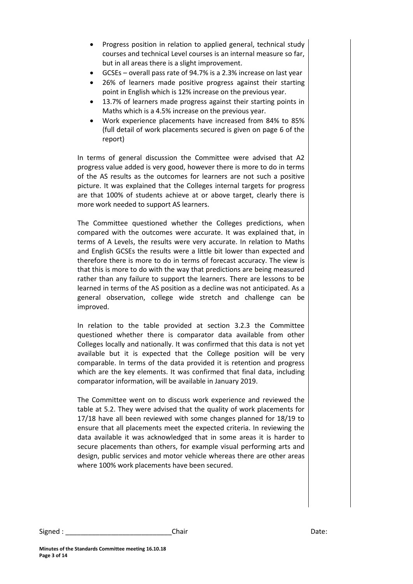- Progress position in relation to applied general, technical study courses and technical Level courses is an internal measure so far, but in all areas there is a slight improvement.
- GCSEs overall pass rate of 94.7% is a 2.3% increase on last year
- 26% of learners made positive progress against their starting point in English which is 12% increase on the previous year.
- 13.7% of learners made progress against their starting points in Maths which is a 4.5% increase on the previous year.
- Work experience placements have increased from 84% to 85% (full detail of work placements secured is given on page 6 of the report)

In terms of general discussion the Committee were advised that A2 progress value added is very good, however there is more to do in terms of the AS results as the outcomes for learners are not such a positive picture. It was explained that the Colleges internal targets for progress are that 100% of students achieve at or above target, clearly there is more work needed to support AS learners.

The Committee questioned whether the Colleges predictions, when compared with the outcomes were accurate. It was explained that, in terms of A Levels, the results were very accurate. In relation to Maths and English GCSEs the results were a little bit lower than expected and therefore there is more to do in terms of forecast accuracy. The view is that this is more to do with the way that predictions are being measured rather than any failure to support the learners. There are lessons to be learned in terms of the AS position as a decline was not anticipated. As a general observation, college wide stretch and challenge can be improved.

In relation to the table provided at section 3.2.3 the Committee questioned whether there is comparator data available from other Colleges locally and nationally. It was confirmed that this data is not yet available but it is expected that the College position will be very comparable. In terms of the data provided it is retention and progress which are the key elements. It was confirmed that final data, including comparator information, will be available in January 2019.

The Committee went on to discuss work experience and reviewed the table at 5.2. They were advised that the quality of work placements for 17/18 have all been reviewed with some changes planned for 18/19 to ensure that all placements meet the expected criteria. In reviewing the data available it was acknowledged that in some areas it is harder to secure placements than others, for example visual performing arts and design, public services and motor vehicle whereas there are other areas where 100% work placements have been secured.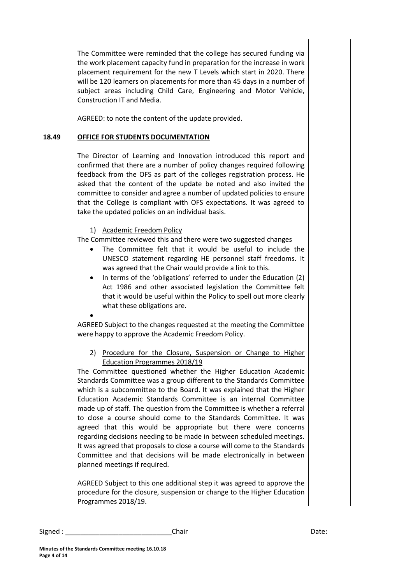The Committee were reminded that the college has secured funding via the work placement capacity fund in preparation for the increase in work placement requirement for the new T Levels which start in 2020. There will be 120 learners on placements for more than 45 days in a number of subject areas including Child Care, Engineering and Motor Vehicle, Construction IT and Media.

AGREED: to note the content of the update provided.

#### **18.49 OFFICE FOR STUDENTS DOCUMENTATION**

The Director of Learning and Innovation introduced this report and confirmed that there are a number of policy changes required following feedback from the OFS as part of the colleges registration process. He asked that the content of the update be noted and also invited the committee to consider and agree a number of updated policies to ensure that the College is compliant with OFS expectations. It was agreed to take the updated policies on an individual basis.

1) Academic Freedom Policy

The Committee reviewed this and there were two suggested changes

- The Committee felt that it would be useful to include the UNESCO statement regarding HE personnel staff freedoms. It was agreed that the Chair would provide a link to this.
- In terms of the 'obligations' referred to under the Education (2) Act 1986 and other associated legislation the Committee felt that it would be useful within the Policy to spell out more clearly what these obligations are.

 $\bullet$ 

AGREED Subject to the changes requested at the meeting the Committee were happy to approve the Academic Freedom Policy.

2) Procedure for the Closure, Suspension or Change to Higher Education Programmes 2018/19

The Committee questioned whether the Higher Education Academic Standards Committee was a group different to the Standards Committee which is a subcommittee to the Board. It was explained that the Higher Education Academic Standards Committee is an internal Committee made up of staff. The question from the Committee is whether a referral to close a course should come to the Standards Committee. It was agreed that this would be appropriate but there were concerns regarding decisions needing to be made in between scheduled meetings. It was agreed that proposals to close a course will come to the Standards Committee and that decisions will be made electronically in between planned meetings if required.

AGREED Subject to this one additional step it was agreed to approve the procedure for the closure, suspension or change to the Higher Education Programmes 2018/19.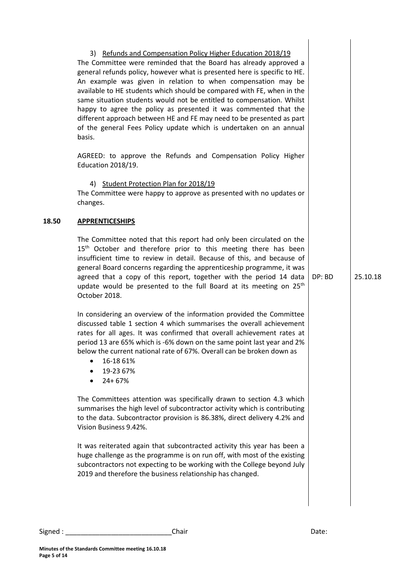|       | 3) Refunds and Compensation Policy Higher Education 2018/19<br>The Committee were reminded that the Board has already approved a<br>general refunds policy, however what is presented here is specific to HE.<br>An example was given in relation to when compensation may be<br>available to HE students which should be compared with FE, when in the<br>same situation students would not be entitled to compensation. Whilst<br>happy to agree the policy as presented it was commented that the<br>different approach between HE and FE may need to be presented as part<br>of the general Fees Policy update which is undertaken on an annual<br>basis. |        |          |
|-------|---------------------------------------------------------------------------------------------------------------------------------------------------------------------------------------------------------------------------------------------------------------------------------------------------------------------------------------------------------------------------------------------------------------------------------------------------------------------------------------------------------------------------------------------------------------------------------------------------------------------------------------------------------------|--------|----------|
|       | AGREED: to approve the Refunds and Compensation Policy Higher<br>Education 2018/19.                                                                                                                                                                                                                                                                                                                                                                                                                                                                                                                                                                           |        |          |
|       | 4) Student Protection Plan for 2018/19<br>The Committee were happy to approve as presented with no updates or<br>changes.                                                                                                                                                                                                                                                                                                                                                                                                                                                                                                                                     |        |          |
| 18.50 | <b>APPRENTICESHIPS</b>                                                                                                                                                                                                                                                                                                                                                                                                                                                                                                                                                                                                                                        |        |          |
|       | The Committee noted that this report had only been circulated on the<br>15 <sup>th</sup> October and therefore prior to this meeting there has been<br>insufficient time to review in detail. Because of this, and because of<br>general Board concerns regarding the apprenticeship programme, it was<br>agreed that a copy of this report, together with the period 14 data<br>update would be presented to the full Board at its meeting on 25 <sup>th</sup><br>October 2018.                                                                                                                                                                              | DP: BD | 25.10.18 |
|       | In considering an overview of the information provided the Committee<br>discussed table 1 section 4 which summarises the overall achievement<br>rates for all ages. It was confirmed that overall achievement rates at<br>period 13 are 65% which is -6% down on the same point last year and 2%<br>below the current national rate of 67%. Overall can be broken down as<br>16-18 61%<br>19-23 67%<br>$24 + 67%$                                                                                                                                                                                                                                             |        |          |
|       | The Committees attention was specifically drawn to section 4.3 which<br>summarises the high level of subcontractor activity which is contributing<br>to the data. Subcontractor provision is 86.38%, direct delivery 4.2% and<br>Vision Business 9.42%.                                                                                                                                                                                                                                                                                                                                                                                                       |        |          |
|       | It was reiterated again that subcontracted activity this year has been a<br>huge challenge as the programme is on run off, with most of the existing<br>subcontractors not expecting to be working with the College beyond July<br>2019 and therefore the business relationship has changed.                                                                                                                                                                                                                                                                                                                                                                  |        |          |
|       |                                                                                                                                                                                                                                                                                                                                                                                                                                                                                                                                                                                                                                                               |        |          |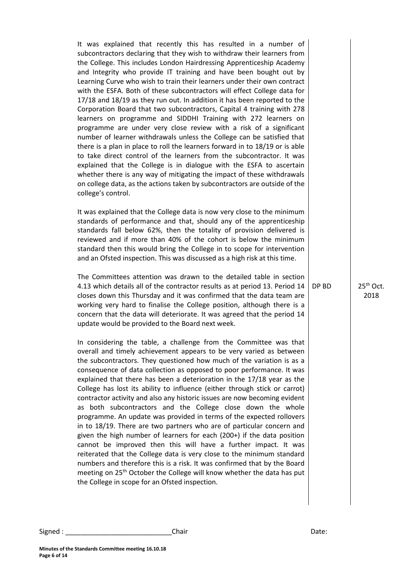It was explained that recently this has resulted in a number of subcontractors declaring that they wish to withdraw their learners from the College. This includes London Hairdressing Apprenticeship Academy and Integrity who provide IT training and have been bought out by Learning Curve who wish to train their learners under their own contract with the ESFA. Both of these subcontractors will effect College data for 17/18 and 18/19 as they run out. In addition it has been reported to the Corporation Board that two subcontractors, Capital 4 training with 278 learners on programme and SIDDHI Training with 272 learners on programme are under very close review with a risk of a significant number of learner withdrawals unless the College can be satisfied that there is a plan in place to roll the learners forward in to 18/19 or is able to take direct control of the learners from the subcontractor. It was explained that the College is in dialogue with the ESFA to ascertain whether there is any way of mitigating the impact of these withdrawals on college data, as the actions taken by subcontractors are outside of the college's control.

It was explained that the College data is now very close to the minimum standards of performance and that, should any of the apprenticeship standards fall below 62%, then the totality of provision delivered is reviewed and if more than 40% of the cohort is below the minimum standard then this would bring the College in to scope for intervention and an Ofsted inspection. This was discussed as a high risk at this time.

The Committees attention was drawn to the detailed table in section 4.13 which details all of the contractor results as at period 13. Period 14 closes down this Thursday and it was confirmed that the data team are working very hard to finalise the College position, although there is a concern that the data will deteriorate. It was agreed that the period 14 update would be provided to the Board next week.

In considering the table, a challenge from the Committee was that overall and timely achievement appears to be very varied as between the subcontractors. They questioned how much of the variation is as a consequence of data collection as opposed to poor performance. It was explained that there has been a deterioration in the 17/18 year as the College has lost its ability to influence (either through stick or carrot) contractor activity and also any historic issues are now becoming evident as both subcontractors and the College close down the whole programme. An update was provided in terms of the expected rollovers in to 18/19. There are two partners who are of particular concern and given the high number of learners for each (200+) if the data position cannot be improved then this will have a further impact. It was reiterated that the College data is very close to the minimum standard numbers and therefore this is a risk. It was confirmed that by the Board meeting on 25<sup>th</sup> October the College will know whether the data has put the College in scope for an Ofsted inspection.

 $DP BD$  25<sup>th</sup> Oct. 2018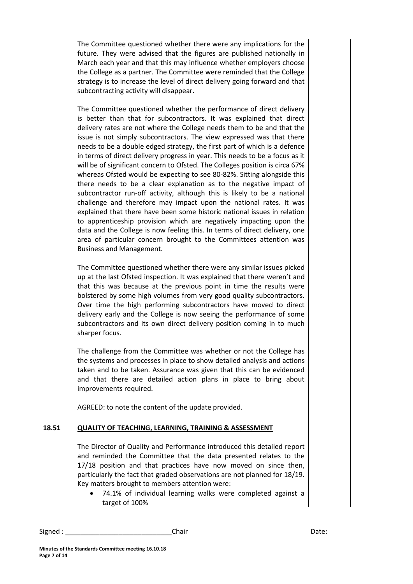The Committee questioned whether there were any implications for the future. They were advised that the figures are published nationally in March each year and that this may influence whether employers choose the College as a partner. The Committee were reminded that the College strategy is to increase the level of direct delivery going forward and that subcontracting activity will disappear.

The Committee questioned whether the performance of direct delivery is better than that for subcontractors. It was explained that direct delivery rates are not where the College needs them to be and that the issue is not simply subcontractors. The view expressed was that there needs to be a double edged strategy, the first part of which is a defence in terms of direct delivery progress in year. This needs to be a focus as it will be of significant concern to Ofsted. The Colleges position is circa 67% whereas Ofsted would be expecting to see 80-82%. Sitting alongside this there needs to be a clear explanation as to the negative impact of subcontractor run-off activity, although this is likely to be a national challenge and therefore may impact upon the national rates. It was explained that there have been some historic national issues in relation to apprenticeship provision which are negatively impacting upon the data and the College is now feeling this. In terms of direct delivery, one area of particular concern brought to the Committees attention was Business and Management.

The Committee questioned whether there were any similar issues picked up at the last Ofsted inspection. It was explained that there weren't and that this was because at the previous point in time the results were bolstered by some high volumes from very good quality subcontractors. Over time the high performing subcontractors have moved to direct delivery early and the College is now seeing the performance of some subcontractors and its own direct delivery position coming in to much sharper focus.

The challenge from the Committee was whether or not the College has the systems and processes in place to show detailed analysis and actions taken and to be taken. Assurance was given that this can be evidenced and that there are detailed action plans in place to bring about improvements required.

AGREED: to note the content of the update provided.

#### **18.51 QUALITY OF TEACHING, LEARNING, TRAINING & ASSESSMENT**

The Director of Quality and Performance introduced this detailed report and reminded the Committee that the data presented relates to the 17/18 position and that practices have now moved on since then, particularly the fact that graded observations are not planned for 18/19. Key matters brought to members attention were:

 74.1% of individual learning walks were completed against a target of 100%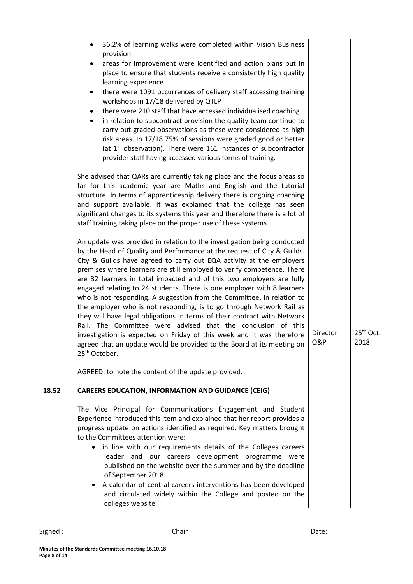|       | 36.2% of learning walks were completed within Vision Business<br>٠<br>provision<br>areas for improvement were identified and action plans put in<br>٠<br>place to ensure that students receive a consistently high quality<br>learning experience<br>there were 1091 occurrences of delivery staff accessing training<br>٠<br>workshops in 17/18 delivered by QTLP<br>there were 210 staff that have accessed individualised coaching<br>$\bullet$<br>in relation to subcontract provision the quality team continue to<br>٠<br>carry out graded observations as these were considered as high<br>risk areas. In 17/18 75% of sessions were graded good or better<br>(at $1st$ observation). There were 161 instances of subcontractor<br>provider staff having accessed various forms of training.                                                                                                                                   |                 |                               |
|-------|---------------------------------------------------------------------------------------------------------------------------------------------------------------------------------------------------------------------------------------------------------------------------------------------------------------------------------------------------------------------------------------------------------------------------------------------------------------------------------------------------------------------------------------------------------------------------------------------------------------------------------------------------------------------------------------------------------------------------------------------------------------------------------------------------------------------------------------------------------------------------------------------------------------------------------------|-----------------|-------------------------------|
|       | She advised that QARs are currently taking place and the focus areas so<br>far for this academic year are Maths and English and the tutorial<br>structure. In terms of apprenticeship delivery there is ongoing coaching<br>and support available. It was explained that the college has seen<br>significant changes to its systems this year and therefore there is a lot of<br>staff training taking place on the proper use of these systems.                                                                                                                                                                                                                                                                                                                                                                                                                                                                                      |                 |                               |
|       | An update was provided in relation to the investigation being conducted<br>by the Head of Quality and Performance at the request of City & Guilds.<br>City & Guilds have agreed to carry out EQA activity at the employers<br>premises where learners are still employed to verify competence. There<br>are 32 learners in total impacted and of this two employers are fully<br>engaged relating to 24 students. There is one employer with 8 learners<br>who is not responding. A suggestion from the Committee, in relation to<br>the employer who is not responding, is to go through Network Rail as<br>they will have legal obligations in terms of their contract with Network<br>Rail. The Committee were advised that the conclusion of this<br>investigation is expected on Friday of this week and it was therefore<br>agreed that an update would be provided to the Board at its meeting on<br>25 <sup>th</sup> October. | Director<br>Q&P | 25 <sup>th</sup> Oct.<br>2018 |
|       | AGREED: to note the content of the update provided.                                                                                                                                                                                                                                                                                                                                                                                                                                                                                                                                                                                                                                                                                                                                                                                                                                                                                   |                 |                               |
| 18.52 | <b>CAREERS EDUCATION, INFORMATION AND GUIDANCE (CEIG)</b>                                                                                                                                                                                                                                                                                                                                                                                                                                                                                                                                                                                                                                                                                                                                                                                                                                                                             |                 |                               |
|       | The Vice Principal for Communications Engagement and Student<br>Experience introduced this item and explained that her report provides a<br>progress update on actions identified as required. Key matters brought<br>to the Committees attention were:<br>• in line with our requirements details of the Colleges careers<br>leader and our careers development programme were<br>published on the website over the summer and by the deadline<br>of September 2018.<br>A calendar of central careers interventions has been developed<br>and circulated widely within the College and posted on the<br>colleges website.                                                                                                                                                                                                                                                                                                            |                 |                               |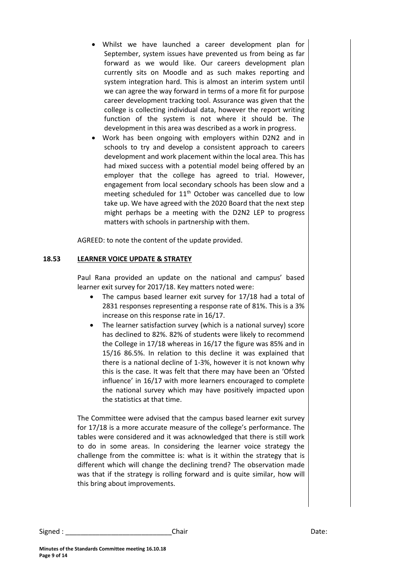- Whilst we have launched a career development plan for September, system issues have prevented us from being as far forward as we would like. Our careers development plan currently sits on Moodle and as such makes reporting and system integration hard. This is almost an interim system until we can agree the way forward in terms of a more fit for purpose career development tracking tool. Assurance was given that the college is collecting individual data, however the report writing function of the system is not where it should be. The development in this area was described as a work in progress.
- Work has been ongoing with employers within D2N2 and in schools to try and develop a consistent approach to careers development and work placement within the local area. This has had mixed success with a potential model being offered by an employer that the college has agreed to trial. However, engagement from local secondary schools has been slow and a meeting scheduled for 11<sup>th</sup> October was cancelled due to low take up. We have agreed with the 2020 Board that the next step might perhaps be a meeting with the D2N2 LEP to progress matters with schools in partnership with them.

AGREED: to note the content of the update provided.

#### **18.53 LEARNER VOICE UPDATE & STRATEY**

Paul Rana provided an update on the national and campus' based learner exit survey for 2017/18. Key matters noted were:

- The campus based learner exit survey for 17/18 had a total of 2831 responses representing a response rate of 81%. This is a 3% increase on this response rate in 16/17.
- The learner satisfaction survey (which is a national survey) score has declined to 82%. 82% of students were likely to recommend the College in 17/18 whereas in 16/17 the figure was 85% and in 15/16 86.5%. In relation to this decline it was explained that there is a national decline of 1-3%, however it is not known why this is the case. It was felt that there may have been an 'Ofsted influence' in 16/17 with more learners encouraged to complete the national survey which may have positively impacted upon the statistics at that time.

The Committee were advised that the campus based learner exit survey for 17/18 is a more accurate measure of the college's performance. The tables were considered and it was acknowledged that there is still work to do in some areas. In considering the learner voice strategy the challenge from the committee is: what is it within the strategy that is different which will change the declining trend? The observation made was that if the strategy is rolling forward and is quite similar, how will this bring about improvements.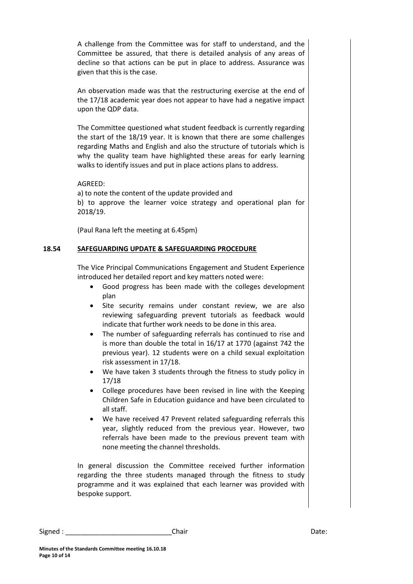A challenge from the Committee was for staff to understand, and the Committee be assured, that there is detailed analysis of any areas of decline so that actions can be put in place to address. Assurance was given that this is the case.

An observation made was that the restructuring exercise at the end of the 17/18 academic year does not appear to have had a negative impact upon the QDP data.

The Committee questioned what student feedback is currently regarding the start of the 18/19 year. It is known that there are some challenges regarding Maths and English and also the structure of tutorials which is why the quality team have highlighted these areas for early learning walks to identify issues and put in place actions plans to address.

#### AGREED:

a) to note the content of the update provided and

b) to approve the learner voice strategy and operational plan for 2018/19.

(Paul Rana left the meeting at 6.45pm)

#### **18.54 SAFEGUARDING UPDATE & SAFEGUARDING PROCEDURE**

The Vice Principal Communications Engagement and Student Experience introduced her detailed report and key matters noted were:

- Good progress has been made with the colleges development plan
- Site security remains under constant review, we are also reviewing safeguarding prevent tutorials as feedback would indicate that further work needs to be done in this area.
- The number of safeguarding referrals has continued to rise and is more than double the total in 16/17 at 1770 (against 742 the previous year). 12 students were on a child sexual exploitation risk assessment in 17/18.
- We have taken 3 students through the fitness to study policy in 17/18
- College procedures have been revised in line with the Keeping Children Safe in Education guidance and have been circulated to all staff.
- We have received 47 Prevent related safeguarding referrals this year, slightly reduced from the previous year. However, two referrals have been made to the previous prevent team with none meeting the channel thresholds.

In general discussion the Committee received further information regarding the three students managed through the fitness to study programme and it was explained that each learner was provided with bespoke support.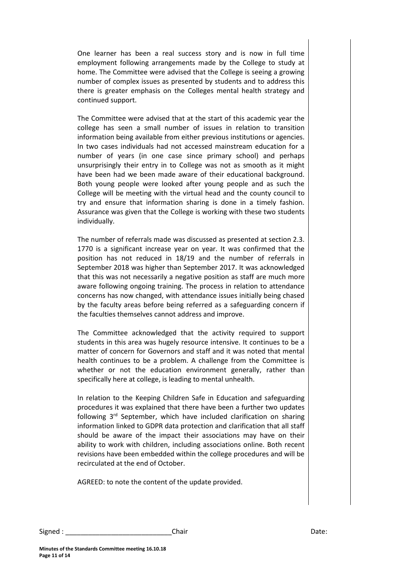One learner has been a real success story and is now in full time employment following arrangements made by the College to study at home. The Committee were advised that the College is seeing a growing number of complex issues as presented by students and to address this there is greater emphasis on the Colleges mental health strategy and continued support.

The Committee were advised that at the start of this academic year the college has seen a small number of issues in relation to transition information being available from either previous institutions or agencies. In two cases individuals had not accessed mainstream education for a number of years (in one case since primary school) and perhaps unsurprisingly their entry in to College was not as smooth as it might have been had we been made aware of their educational background. Both young people were looked after young people and as such the College will be meeting with the virtual head and the county council to try and ensure that information sharing is done in a timely fashion. Assurance was given that the College is working with these two students individually.

The number of referrals made was discussed as presented at section 2.3. 1770 is a significant increase year on year. It was confirmed that the position has not reduced in 18/19 and the number of referrals in September 2018 was higher than September 2017. It was acknowledged that this was not necessarily a negative position as staff are much more aware following ongoing training. The process in relation to attendance concerns has now changed, with attendance issues initially being chased by the faculty areas before being referred as a safeguarding concern if the faculties themselves cannot address and improve.

The Committee acknowledged that the activity required to support students in this area was hugely resource intensive. It continues to be a matter of concern for Governors and staff and it was noted that mental health continues to be a problem. A challenge from the Committee is whether or not the education environment generally, rather than specifically here at college, is leading to mental unhealth.

In relation to the Keeping Children Safe in Education and safeguarding procedures it was explained that there have been a further two updates following  $3<sup>rd</sup>$  September, which have included clarification on sharing information linked to GDPR data protection and clarification that all staff should be aware of the impact their associations may have on their ability to work with children, including associations online. Both recent revisions have been embedded within the college procedures and will be recirculated at the end of October.

AGREED: to note the content of the update provided.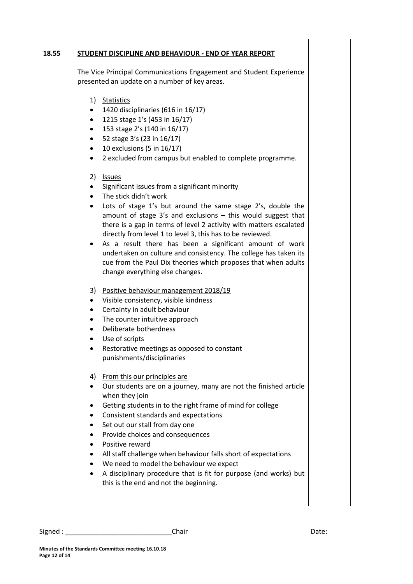#### **18.55 STUDENT DISCIPLINE AND BEHAVIOUR - END OF YEAR REPORT**

The Vice Principal Communications Engagement and Student Experience presented an update on a number of key areas.

- 1) Statistics
- $\bullet$  1420 disciplinaries (616 in 16/17)
- 1215 stage 1's (453 in 16/17)
- 153 stage 2's (140 in 16/17)
- $\bullet$  52 stage 3's (23 in 16/17)
- $\bullet$  10 exclusions (5 in 16/17)
- 2 excluded from campus but enabled to complete programme.
- 2) Issues
- Significant issues from a significant minority
- The stick didn't work
- Lots of stage 1's but around the same stage 2's, double the amount of stage 3's and exclusions – this would suggest that there is a gap in terms of level 2 activity with matters escalated directly from level 1 to level 3, this has to be reviewed.
- As a result there has been a significant amount of work undertaken on culture and consistency. The college has taken its cue from the Paul Dix theories which proposes that when adults change everything else changes.
- 3) Positive behaviour management 2018/19
- Visible consistency, visible kindness
- Certainty in adult behaviour
- The counter intuitive approach
- Deliberate botherdness
- Use of scripts
- Restorative meetings as opposed to constant punishments/disciplinaries
- 4) From this our principles are
- Our students are on a journey, many are not the finished article when they join
- Getting students in to the right frame of mind for college
- Consistent standards and expectations
- Set out our stall from day one
- Provide choices and consequences
- Positive reward
- All staff challenge when behaviour falls short of expectations
- We need to model the behaviour we expect
- A disciplinary procedure that is fit for purpose (and works) but this is the end and not the beginning.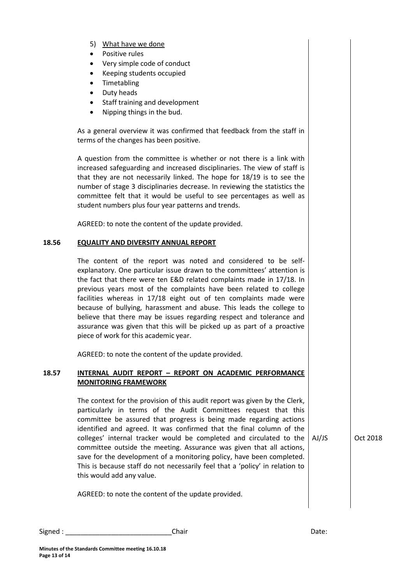- 5) What have we done
- Positive rules
- Very simple code of conduct
- Keeping students occupied
- Timetabling
- Duty heads
- Staff training and development
- Nipping things in the bud.

As a general overview it was confirmed that feedback from the staff in terms of the changes has been positive.

A question from the committee is whether or not there is a link with increased safeguarding and increased disciplinaries. The view of staff is that they are not necessarily linked. The hope for 18/19 is to see the number of stage 3 disciplinaries decrease. In reviewing the statistics the committee felt that it would be useful to see percentages as well as student numbers plus four year patterns and trends.

AGREED: to note the content of the update provided.

#### **18.56 EQUALITY AND DIVERSITY ANNUAL REPORT**

The content of the report was noted and considered to be selfexplanatory. One particular issue drawn to the committees' attention is the fact that there were ten E&D related complaints made in 17/18. In previous years most of the complaints have been related to college facilities whereas in 17/18 eight out of ten complaints made were because of bullying, harassment and abuse. This leads the college to believe that there may be issues regarding respect and tolerance and assurance was given that this will be picked up as part of a proactive piece of work for this academic year.

AGREED: to note the content of the update provided.

#### **18.57 INTERNAL AUDIT REPORT – REPORT ON ACADEMIC PERFORMANCE MONITORING FRAMEWORK**

The context for the provision of this audit report was given by the Clerk, particularly in terms of the Audit Committees request that this committee be assured that progress is being made regarding actions identified and agreed. It was confirmed that the final column of the colleges' internal tracker would be completed and circulated to the  $\vert$  AJ/JS committee outside the meeting. Assurance was given that all actions, save for the development of a monitoring policy, have been completed. This is because staff do not necessarily feel that a 'policy' in relation to this would add any value.

**Oct 2018** 

AGREED: to note the content of the update provided.